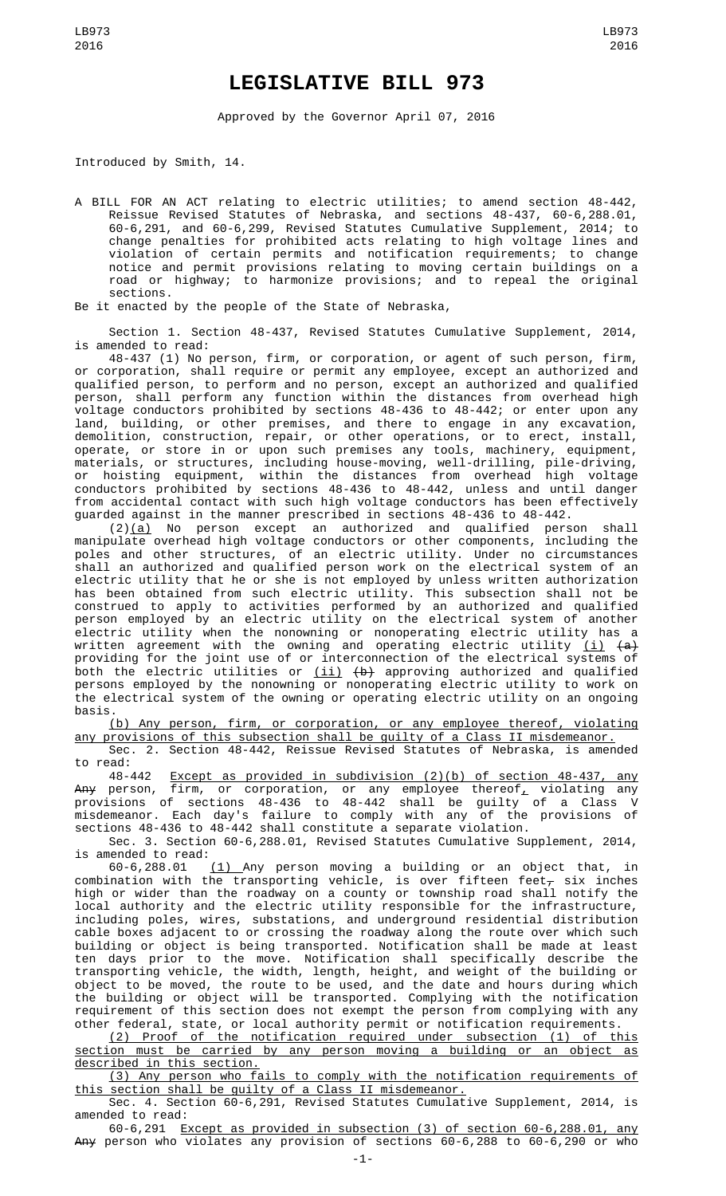## **LEGISLATIVE BILL 973**

Approved by the Governor April 07, 2016

Introduced by Smith, 14.

A BILL FOR AN ACT relating to electric utilities; to amend section 48-442, Reissue Revised Statutes of Nebraska, and sections 48-437, 60-6,288.01, 60-6,291, and 60-6,299, Revised Statutes Cumulative Supplement, 2014; to change penalties for prohibited acts relating to high voltage lines and violation of certain permits and notification requirements; to change notice and permit provisions relating to moving certain buildings on a road or highway; to harmonize provisions; and to repeal the original sections.

Be it enacted by the people of the State of Nebraska,

Section 1. Section 48-437, Revised Statutes Cumulative Supplement, 2014, is amended to read:

48-437 (1) No person, firm, or corporation, or agent of such person, firm, or corporation, shall require or permit any employee, except an authorized and qualified person, to perform and no person, except an authorized and qualified person, shall perform any function within the distances from overhead high voltage conductors prohibited by sections 48-436 to 48-442; or enter upon any land, building, or other premises, and there to engage in any excavation, demolition, construction, repair, or other operations, or to erect, install, operate, or store in or upon such premises any tools, machinery, equipment, materials, or structures, including house-moving, well-drilling, pile-driving, or hoisting equipment, within the distances from overhead high voltage conductors prohibited by sections 48-436 to 48-442, unless and until danger from accidental contact with such high voltage conductors has been effectively guarded against in the manner prescribed in sections 48-436 to 48-442.

(2)(a) No person except an authorized and qualified person shall manipulate overhead high voltage conductors or other components, including the poles and other structures, of an electric utility. Under no circumstances shall an authorized and qualified person work on the electrical system of an electric utility that he or she is not employed by unless written authorization has been obtained from such electric utility. This subsection shall not be construed to apply to activities performed by an authorized and qualified person employed by an electric utility on the electrical system of another electric utility when the nonowning or nonoperating electric utility has a written agreement with the owning and operating electric utility <u>(i)</u> <del>(a)</del> providing for the joint use of or interconnection of the electrical systems of both the electric utilities or <u>(ii)</u> <del>(b)</del> approving authorized and qualified persons employed by the nonowning or nonoperating electric utility to work on the electrical system of the owning or operating electric utility on an ongoing basis.

(b) Any person, firm, or corporation, or any employee thereof, violating any provisions of this subsection shall be guilty of a Class II misdemeanor.

Sec. 2. Section 48-442, Reissue Revised Statutes of Nebraska, is amended to read:

48-442 Except as provided in subdivision (2)(b) of section 48-437, any <del>Any</del> person, firm, or corporation, or any employee thereof<u>,</u> violating any provisions of sections 48-436 to 48-442 shall be guilty of a Class V misdemeanor. Each day's failure to comply with any of the provisions of sections 48-436 to 48-442 shall constitute a separate violation.

Sec. 3. Section 60-6,288.01, Revised Statutes Cumulative Supplement, 2014, is amended to read:

60-6,288.01 (1) Any person moving a building or an object that, in combination with the transporting vehicle, is over fifteen feet $_\mathcal{T}$  six inches high or wider than the roadway on a county or township road shall notify the local authority and the electric utility responsible for the infrastructure, including poles, wires, substations, and underground residential distribution cable boxes adjacent to or crossing the roadway along the route over which such building or object is being transported. Notification shall be made at least ten days prior to the move. Notification shall specifically describe the transporting vehicle, the width, length, height, and weight of the building or object to be moved, the route to be used, and the date and hours during which the building or object will be transported. Complying with the notification requirement of this section does not exempt the person from complying with any other federal, state, or local authority permit or notification requirements.

(2) Proof of the notification required under subsection (1) of this section must be carried by any person moving a building or an object as described in this section.

(3) Any person who fails to comply with the notification requirements of this section shall be guilty of a Class II misdemeanor.

Sec. 4. Section 60-6,291, Revised Statutes Cumulative Supplement, 2014, is amended to read:

60-6,291 Except as provided in subsection (3) of section 60-6,288.01, any Any person who violates any provision of sections 60-6,288 to 60-6,290 or who